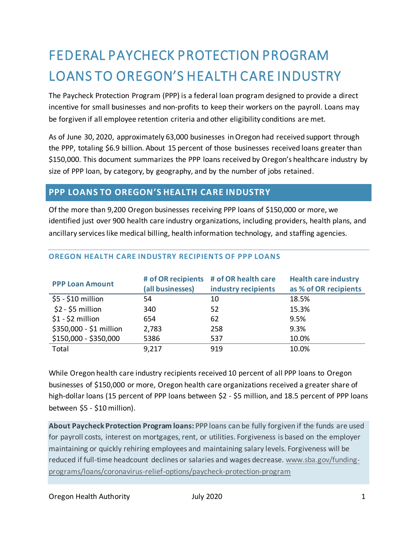# FEDERAL PAYCHECK PROTECTION PROGRAM LOANS TO OREGON'S HEALTH CARE INDUSTRY

The Paycheck Protection Program (PPP) is a federal loan program designed to provide a direct incentive for small businesses and non-profits to keep their workers on the payroll. Loans may be forgiven if all employee retention criteria and other eligibility conditions are met.

As of June 30, 2020, approximately 63,000 businesses in Oregon had received support through the PPP, totaling \$6.9 billion. About 15 percent of those businesses received loans greater than \$150,000. This document summarizes the PPP loans received by Oregon's healthcare industry by size of PPP loan, by category, by geography, and by the number of jobs retained.

### **PPP LOANS TO OREGON'S HEALTH CARE INDUSTRY**

Of the more than 9,200 Oregon businesses receiving PPP loans of \$150,000 or more, we identified just over 900 health care industry organizations, including providers, health plans, and ancillary services like medical billing, health information technology, and staffing agencies.

| <b>PPP Loan Amount</b>  | (all businesses) | # of OR recipients # of OR health care<br>industry recipients | <b>Health care industry</b><br>as % of OR recipients |
|-------------------------|------------------|---------------------------------------------------------------|------------------------------------------------------|
| $$5 - $10$ million      | 54               | 10                                                            | 18.5%                                                |
| $$2 - $5$ million       | 340              | 52                                                            | 15.3%                                                |
| $$1 - $2$ million       | 654              | 62                                                            | 9.5%                                                 |
| \$350,000 - \$1 million | 2,783            | 258                                                           | 9.3%                                                 |
| \$150,000 - \$350,000   | 5386             | 537                                                           | 10.0%                                                |
| Total                   | 9,217            | 919                                                           | 10.0%                                                |

#### **OREGON HEALTH CARE INDUSTRY RECIPIENTS OF PPP LOANS**

While Oregon health care industry recipients received 10 percent of all PPP loans to Oregon businesses of \$150,000 or more, Oregon health care organizations received a greater share of high-dollar loans (15 percent of PPP loans between \$2 - \$5 million, and 18.5 percent of PPP loans between \$5 - \$10 million).

**About Paycheck Protection Program loans:** PPP loans can be fully forgiven if the funds are used for payroll costs, interest on mortgages, rent, or utilities. Forgiveness is based on the employer maintaining or quickly rehiring employees and maintaining salary levels. Forgiveness will be reduced if full-time headcount declines or salaries and wages decrease[. www.sba.gov/funding](http://www.sba.gov/funding-programs/loans/coronavirus-relief-options/paycheck-protection-program)[programs/loans/coronavirus-relief-options/paycheck-protection-program](http://www.sba.gov/funding-programs/loans/coronavirus-relief-options/paycheck-protection-program)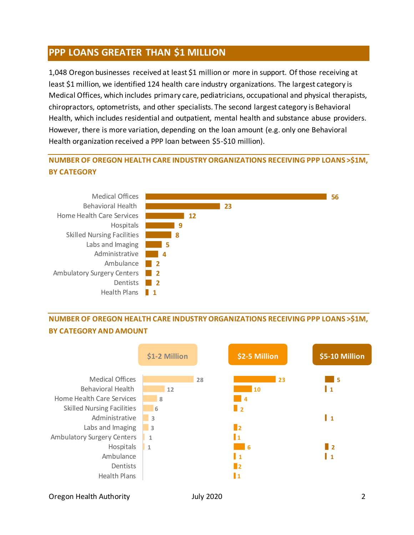# **PPP LOANS GREATER THAN \$1 MILLION**

1,048 Oregon businesses received at least \$1 million or more in support. Of those receiving at least \$1 million, we identified 124 health care industry organizations. The largest category is Medical Offices, which includes primary care, pediatricians, occupational and physical therapists, chiropractors, optometrists, and other specialists. The second largest category is Behavioral Health, which includes residential and outpatient, mental health and substance abuse providers. However, there is more variation, depending on the loan amount (e.g. only one Behavioral Health organization received a PPP loan between \$5-\$10 million).

### **NUMBER OF OREGON HEALTH CARE INDUSTRY ORGANIZATIONS RECEIVING PPP LOANS >\$1M, BY CATEGORY**



# **NUMBER OF OREGON HEALTH CARE INDUSTRY ORGANIZATIONS RECEIVING PPP LOANS >\$1M, BY CATEGORY AND AMOUNT**



Oregon Health Authority July 2020 2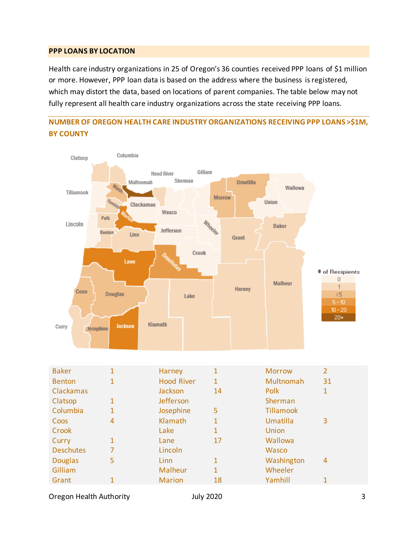#### **PPP LOANS BY LOCATION**

Health care industry organizations in 25 of Oregon's 36 counties received PPP loans of \$1 million or more. However, PPP loan data is based on the address where the business is registered, which may distort the data, based on locations of parent companies. The table below may not fully represent all health care industry organizations across the state receiving PPP loans.

#### **NUMBER OF OREGON HEALTH CARE INDUSTRY ORGANIZATIONS RECEIVING PPP LOANS >\$1M, BY COUNTY**



Oregon Health Authority **3** and July 2020 **3** and July 2020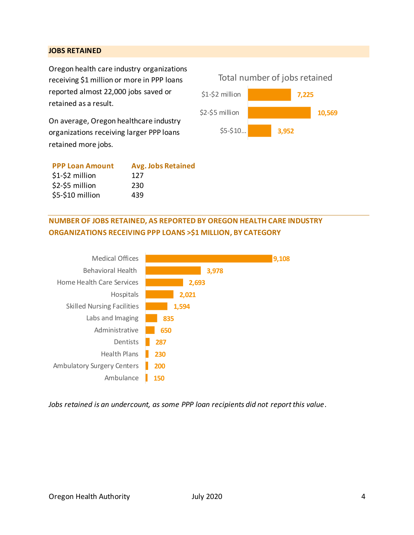#### **JOBS RETAINED**

Oregon health care industry organizations receiving \$1 million or more in PPP loans reported almost 22,000 jobs saved or retained as a result.

On average, Oregon healthcare industry organizations receiving larger PPP loans retained more jobs.

| <b>PPP Loan Amount</b> | <b>Avg. Jobs Retained</b> |
|------------------------|---------------------------|
| $$1-$2$ million        | 127                       |
| \$2-\$5 million        | 230                       |
| \$5-\$10 million       | 439                       |
|                        |                           |



### **NUMBER OF JOBS RETAINED, AS REPORTED BY OREGON HEALTH CARE INDUSTRY ORGANIZATIONS RECEIVING PPP LOANS >\$1 MILLION, BY CATEGORY**



*Jobs retained is an undercount, as some PPP loan recipients did not report this value.*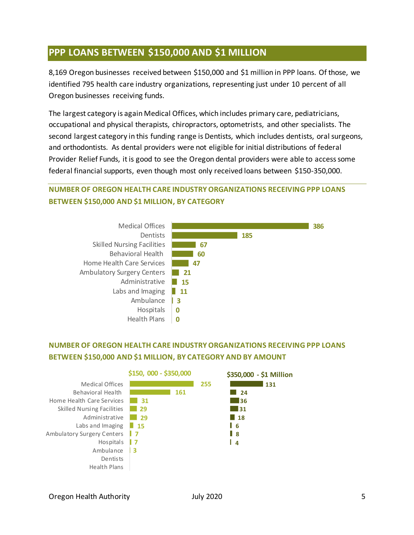# **PPP LOANS BETWEEN \$150,000 AND \$1 MILLION**

8,169 Oregon businesses received between \$150,000 and \$1 million in PPP loans. Of those, we identified 795 health care industry organizations, representing just under 10 percent of all Oregon businesses receiving funds.

The largest category is again Medical Offices, which includes primary care, pediatricians, occupational and physical therapists, chiropractors, optometrists, and other specialists. The second largest category in this funding range is Dentists, which includes dentists, oral surgeons, and orthodontists. As dental providers were not eligible for initial distributions of federal Provider Relief Funds, it is good to see the Oregon dental providers were able to access some federal financial supports, even though most only received loans between \$150-350,000.

### **NUMBER OF OREGON HEALTH CARE INDUSTRY ORGANIZATIONS RECEIVING PPP LOANS BETWEEN \$150,000 AND \$1 MILLION, BY CATEGORY**



### **NUMBER OF OREGON HEALTH CARE INDUSTRY ORGANIZATIONS RECEIVING PPP LOANS BETWEEN \$150,000 AND \$1 MILLION, BY CATEGORY AND BY AMOUNT**

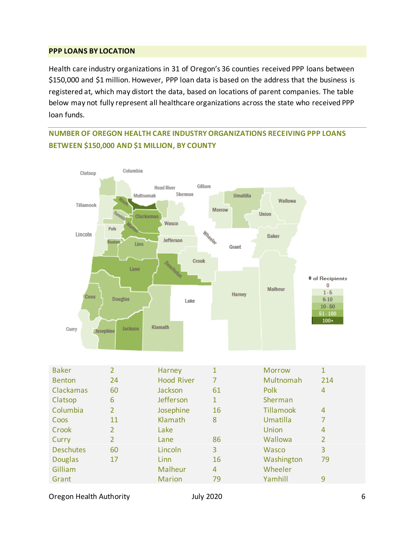#### **PPP LOANS BY LOCATION**

Health care industry organizations in 31 of Oregon's 36 counties received PPP loans between \$150,000 and \$1 million. However, PPP loan data is based on the address that the business is registered at, which may distort the data, based on locations of parent companies. The table below may not fully represent all healthcare organizations across the state who received PPP loan funds.

### **NUMBER OF OREGON HEALTH CARE INDUSTRY ORGANIZATIONS RECEIVING PPP LOANS BETWEEN \$150,000 AND \$1 MILLION, BY COUNTY**



Oregon Health Authority **Contains a Container Service Contains a Container Service Contains a Containing Contains A**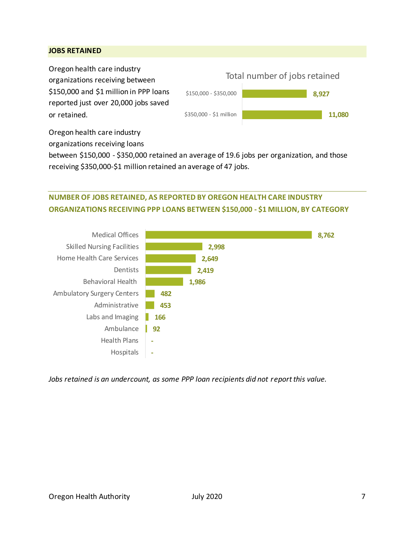#### **JOBS RETAINED**

Oregon health care industry organizations receiving between \$150,000 and \$1 million in PPP loans reported just over 20,000 jobs saved or retained.



Oregon health care industry organizations receiving loans

between \$150,000 - \$350,000 retained an average of 19.6 jobs per organization, and those receiving \$350,000-\$1 million retained an average of 47 jobs.

### **NUMBER OF JOBS RETAINED, AS REPORTED BY OREGON HEALTH CARE INDUSTRY ORGANIZATIONS RECEIVING PPP LOANS BETWEEN \$150,000 - \$1 MILLION, BY CATEGORY**



*Jobs retained is an undercount, as some PPP loan recipients did not report this value.*